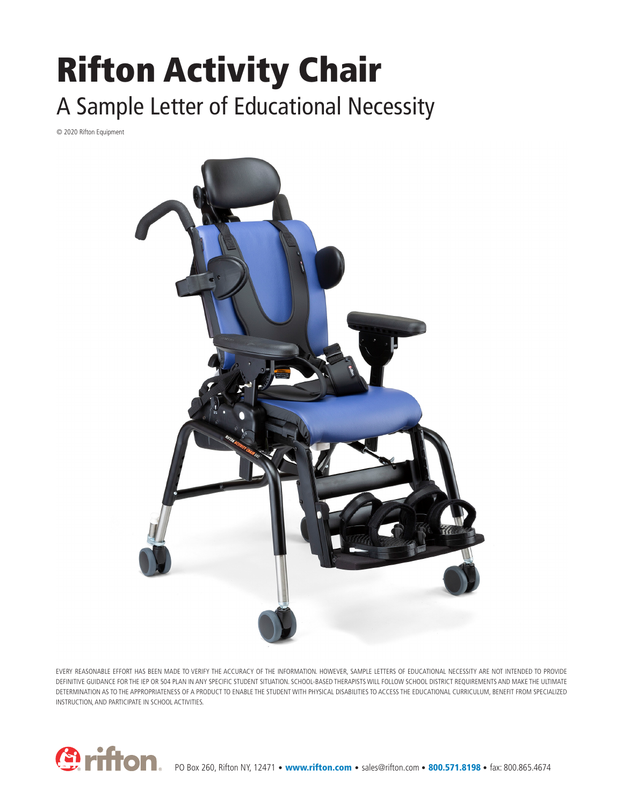## Rifton Activity Chair A Sample Letter of Educational Necessity

© 2020 Rifton Equipment



EVERY REASONABLE EFFORT HAS BEEN MADE TO VERIFY THE ACCURACY OF THE INFORMATION. HOWEVER, SAMPLE LETTERS OF EDUCATIONAL NECESSITY ARE NOT INTENDED TO PROVIDE DEFINITIVE GUIDANCE FOR THE IEP OR 504 PLAN IN ANY SPECIFIC STUDENT SITUATION. SCHOOL-BASED THERAPISTS WILL FOLLOW SCHOOL DISTRICT REQUIREMENTS AND MAKE THE ULTIMATE DETERMINATION AS TO THE APPROPRIATENESS OF A PRODUCT TO ENABLE THE STUDENT WITH PHYSICAL DISABILITIES TO ACCESS THE EDUCATIONAL CURRICULUM, BENEFIT FROM SPECIALIZED INSTRUCTION, AND PARTICIPATE IN SCHOOL ACTIVITIES.

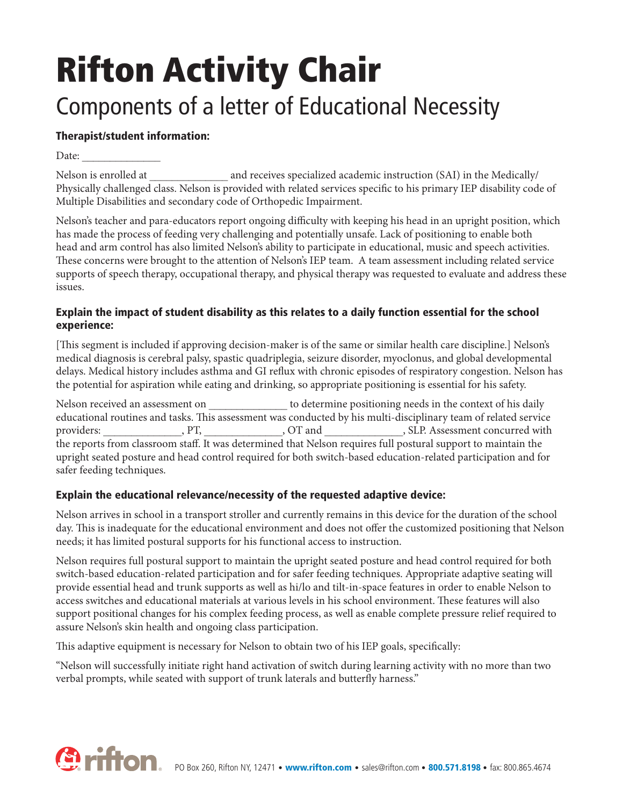# Rifton Activity Chair Components of a letter of Educational Necessity

### Therapist/student information:

Date:

Nelson is enrolled at  $\qquad \qquad \qquad$  and receives specialized academic instruction (SAI) in the Medically/ Physically challenged class. Nelson is provided with related services specific to his primary IEP disability code of Multiple Disabilities and secondary code of Orthopedic Impairment.

Nelson's teacher and para-educators report ongoing difficulty with keeping his head in an upright position, which has made the process of feeding very challenging and potentially unsafe. Lack of positioning to enable both head and arm control has also limited Nelson's ability to participate in educational, music and speech activities. These concerns were brought to the attention of Nelson's IEP team. A team assessment including related service supports of speech therapy, occupational therapy, and physical therapy was requested to evaluate and address these issues.

#### Explain the impact of student disability as this relates to a daily function essential for the school experience:

[This segment is included if approving decision-maker is of the same or similar health care discipline.] Nelson's medical diagnosis is cerebral palsy, spastic quadriplegia, seizure disorder, myoclonus, and global developmental delays. Medical history includes asthma and GI reflux with chronic episodes of respiratory congestion. Nelson has the potential for aspiration while eating and drinking, so appropriate positioning is essential for his safety.

Nelson received an assessment on  $\qquad \qquad$  to determine positioning needs in the context of his daily educational routines and tasks. This assessment was conducted by his multi-disciplinary team of related service providers: \_\_\_\_\_\_\_\_\_\_\_\_\_, PT, \_\_\_\_\_\_\_\_\_\_\_\_, OT and \_\_\_\_\_\_\_\_\_\_\_\_\_\_, SLP. Assessment concurred with the reports from classroom staff. It was determined that Nelson requires full postural support to maintain the upright seated posture and head control required for both switch-based education-related participation and for safer feeding techniques.

#### Explain the educational relevance/necessity of the requested adaptive device:

Nelson arrives in school in a transport stroller and currently remains in this device for the duration of the school day. This is inadequate for the educational environment and does not offer the customized positioning that Nelson needs; it has limited postural supports for his functional access to instruction.

Nelson requires full postural support to maintain the upright seated posture and head control required for both switch-based education-related participation and for safer feeding techniques. Appropriate adaptive seating will provide essential head and trunk supports as well as hi/lo and tilt-in-space features in order to enable Nelson to access switches and educational materials at various levels in his school environment. These features will also support positional changes for his complex feeding process, as well as enable complete pressure relief required to assure Nelson's skin health and ongoing class participation.

This adaptive equipment is necessary for Nelson to obtain two of his IEP goals, specifically:

"Nelson will successfully initiate right hand activation of switch during learning activity with no more than two verbal prompts, while seated with support of trunk laterals and butterfly harness."